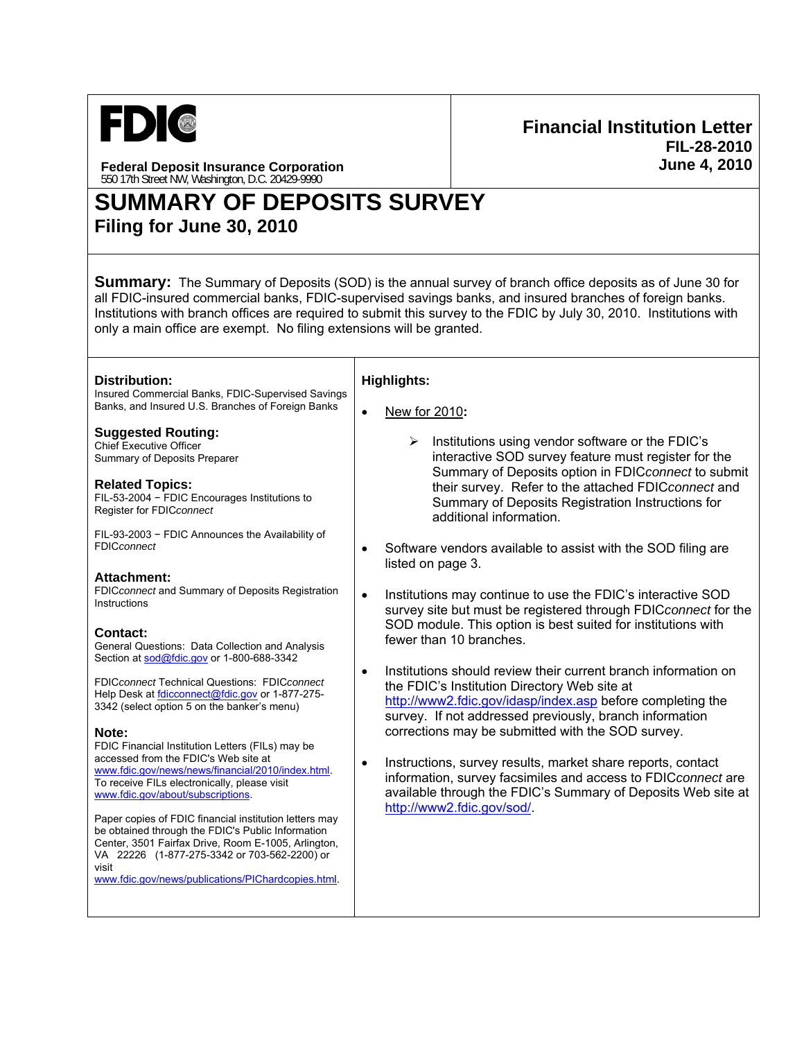

**Financial Institution Letter FIL-28-2010 June 4, 2010**

**Federal Deposit Insurance Corporation**  550 17th Street NW, Washington, D.C. 20429-9990

# **SUMMARY OF DEPOSITS SURVEY Filing for June 30, 2010**

**Summary:** The Summary of Deposits (SOD) is the annual survey of branch office deposits as of June 30 for all FDIC-insured commercial banks, FDIC-supervised savings banks, and insured branches of foreign banks. Institutions with branch offices are required to submit this survey to the FDIC by July 30, 2010. Institutions with only a main office are exempt. No filing extensions will be granted.

| Distribution:<br>Insured Commercial Banks, FDIC-Supervised Savings                                  | <b>Highlights:</b>                                                                                                                                                   |
|-----------------------------------------------------------------------------------------------------|----------------------------------------------------------------------------------------------------------------------------------------------------------------------|
| Banks, and Insured U.S. Branches of Foreign Banks                                                   | New for 2010:<br>$\bullet$                                                                                                                                           |
| <b>Suggested Routing:</b><br><b>Chief Executive Officer</b><br>Summary of Deposits Preparer         | Institutions using vendor software or the FDIC's<br>≻<br>interactive SOD survey feature must register for the<br>Summary of Deposits option in FDICconnect to submit |
| <b>Related Topics:</b><br>FIL-53-2004 - FDIC Encourages Institutions to<br>Register for FDICconnect | their survey. Refer to the attached FDICconnect and<br>Summary of Deposits Registration Instructions for<br>additional information.                                  |
| FIL-93-2003 - FDIC Announces the Availability of<br><b>FDICconnect</b>                              | Software vendors available to assist with the SOD filing are<br>listed on page 3.                                                                                    |
| Attachment:                                                                                         |                                                                                                                                                                      |
| FDICconnect and Summary of Deposits Registration<br>Instructions                                    | Institutions may continue to use the FDIC's interactive SOD<br>$\bullet$<br>survey site but must be registered through FDICconnect for the                           |
| <b>Contact:</b>                                                                                     | SOD module. This option is best suited for institutions with                                                                                                         |
| General Questions: Data Collection and Analysis                                                     | fewer than 10 branches.                                                                                                                                              |
| Section at sod@fdic.gov or 1-800-688-3342                                                           |                                                                                                                                                                      |
|                                                                                                     | Institutions should review their current branch information on<br>$\bullet$                                                                                          |
| FDICconnect Technical Questions: FDICconnect                                                        | the FDIC's Institution Directory Web site at                                                                                                                         |
| Help Desk at fdicconnect@fdic.gov or 1-877-275-<br>3342 (select option 5 on the banker's menu)      | http://www2.fdic.gov/idasp/index.asp before completing the                                                                                                           |
|                                                                                                     | survey. If not addressed previously, branch information                                                                                                              |
| Note:                                                                                               | corrections may be submitted with the SOD survey.                                                                                                                    |
| FDIC Financial Institution Letters (FILs) may be                                                    |                                                                                                                                                                      |
| accessed from the FDIC's Web site at<br>www.fdic.gov/news/news/financial/2010/index.html            | Instructions, survey results, market share reports, contact<br>$\bullet$                                                                                             |
| To receive FILs electronically, please visit                                                        | information, survey facsimiles and access to FDICconnect are                                                                                                         |
| www.fdic.gov/about/subscriptions.                                                                   | available through the FDIC's Summary of Deposits Web site at                                                                                                         |
| Paper copies of FDIC financial institution letters may                                              | http://www2.fdic.gov/sod/.                                                                                                                                           |
| be obtained through the FDIC's Public Information                                                   |                                                                                                                                                                      |
| Center, 3501 Fairfax Drive, Room E-1005, Arlington,                                                 |                                                                                                                                                                      |
| VA 22226 (1-877-275-3342 or 703-562-2200) or<br>visit                                               |                                                                                                                                                                      |
| www.fdic.gov/news/publications/PIChardcopies.html.                                                  |                                                                                                                                                                      |
|                                                                                                     |                                                                                                                                                                      |
|                                                                                                     |                                                                                                                                                                      |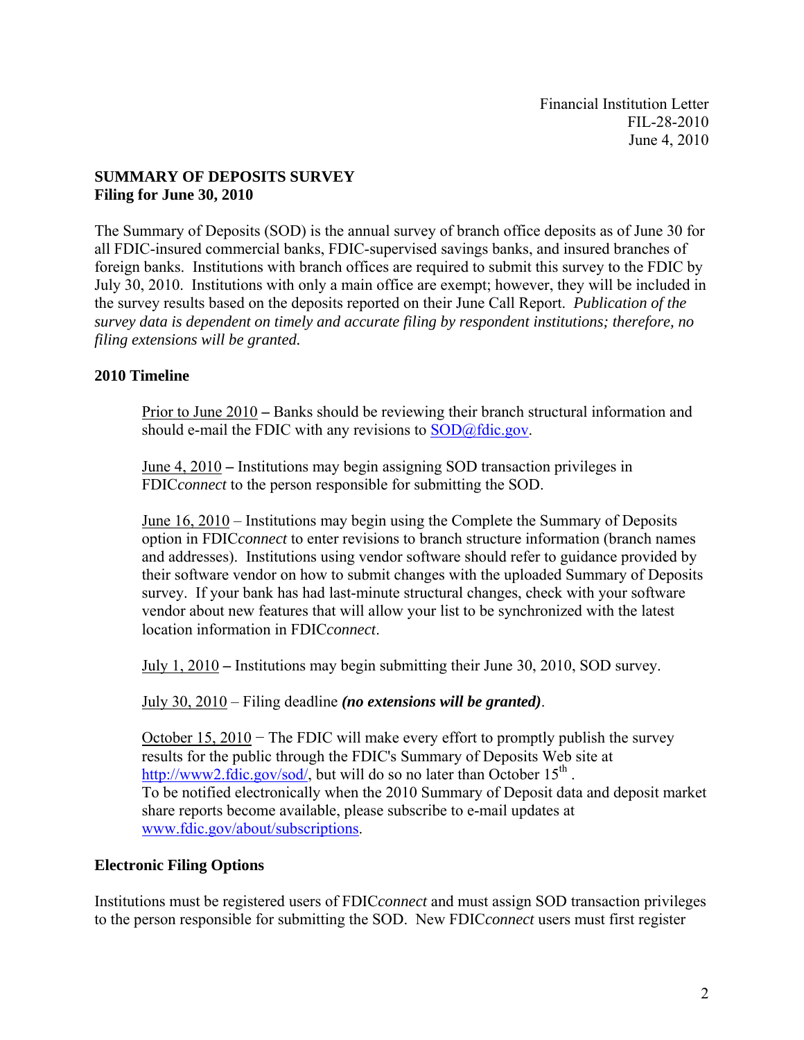Financial Institution Letter FIL-28-2010 June 4, 2010

#### **SUMMARY OF DEPOSITS SURVEY Filing for June 30, 2010**

The Summary of Deposits (SOD) is the annual survey of branch office deposits as of June 30 for all FDIC-insured commercial banks, FDIC-supervised savings banks, and insured branches of foreign banks. Institutions with branch offices are required to submit this survey to the FDIC by July 30, 2010. Institutions with only a main office are exempt; however, they will be included in the survey results based on the deposits reported on their June Call Report. *Publication of the survey data is dependent on timely and accurate filing by respondent institutions; therefore, no filing extensions will be granted.* 

#### **2010 Timeline**

Prior to June 2010 **–** Banks should be reviewing their branch structural information and should e-mail the FDIC with any revisions to SOD@fdic.gov.

June 4, 2010 **–** Institutions may begin assigning SOD transaction privileges in FDIC*connect* to the person responsible for submitting the SOD.

June 16, 2010 – Institutions may begin using the Complete the Summary of Deposits option in FDIC*connect* to enter revisions to branch structure information (branch names and addresses). Institutions using vendor software should refer to guidance provided by their software vendor on how to submit changes with the uploaded Summary of Deposits survey. If your bank has had last-minute structural changes, check with your software vendor about new features that will allow your list to be synchronized with the latest location information in FDIC*connect*.

July 1, 2010 **–** Institutions may begin submitting their June 30, 2010, SOD survey.

July 30, 2010 – Filing deadline *(no extensions will be granted)*.

October 15, 2010 − The FDIC will make every effort to promptly publish the survey results for the public through the FDIC's Summary of Deposits Web site at http://www2.fdic.gov/sod/, but will do so no later than October  $15^{th}$ . To be notified electronically when the 2010 Summary of Deposit data and deposit market share reports become available, please subscribe to e-mail updates at www.fdic.gov/about/subscriptions.

#### **Electronic Filing Options**

Institutions must be registered users of FDIC*connect* and must assign SOD transaction privileges to the person responsible for submitting the SOD. New FDIC*connect* users must first register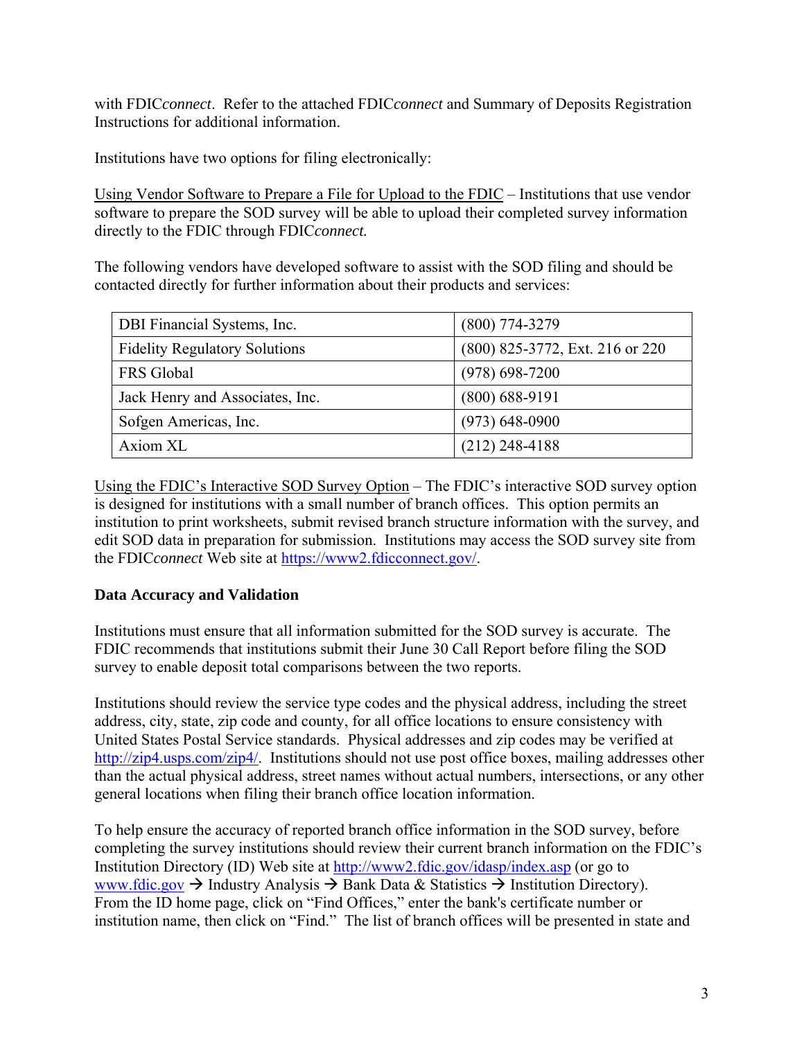with FDIC*connect*. Refer to the attached FDIC*connect* and Summary of Deposits Registration Instructions for additional information.

Institutions have two options for filing electronically:

Using Vendor Software to Prepare a File for Upload to the FDIC – Institutions that use vendor software to prepare the SOD survey will be able to upload their completed survey information directly to the FDIC through FDIC*connect.* 

The following vendors have developed software to assist with the SOD filing and should be contacted directly for further information about their products and services:

| DBI Financial Systems, Inc.          | (800) 774-3279                  |
|--------------------------------------|---------------------------------|
| <b>Fidelity Regulatory Solutions</b> | (800) 825-3772, Ext. 216 or 220 |
| <b>FRS</b> Global                    | $(978) 698 - 7200$              |
| Jack Henry and Associates, Inc.      | (800) 688-9191                  |
| Sofgen Americas, Inc.                | $(973) 648 - 0900$              |
| Axiom XL                             | $(212)$ 248-4188                |

Using the FDIC's Interactive SOD Survey Option – The FDIC's interactive SOD survey option is designed for institutions with a small number of branch offices. This option permits an institution to print worksheets, submit revised branch structure information with the survey, and edit SOD data in preparation for submission. Institutions may access the SOD survey site from the FDIC*connect* Web site at https://www2.fdicconnect.gov/.

### **Data Accuracy and Validation**

Institutions must ensure that all information submitted for the SOD survey is accurate. The FDIC recommends that institutions submit their June 30 Call Report before filing the SOD survey to enable deposit total comparisons between the two reports.

Institutions should review the service type codes and the physical address, including the street address, city, state, zip code and county, for all office locations to ensure consistency with United States Postal Service standards. Physical addresses and zip codes may be verified at http://zip4.usps.com/zip4/. Institutions should not use post office boxes, mailing addresses other than the actual physical address, street names without actual numbers, intersections, or any other general locations when filing their branch office location information.

To help ensure the accuracy of reported branch office information in the SOD survey, before completing the survey institutions should review their current branch information on the FDIC's Institution Directory (ID) Web site at http://www2.fdic.gov/idasp/index.asp (or go to www.fdic.gov  $\rightarrow$  Industry Analysis  $\rightarrow$  Bank Data & Statistics  $\rightarrow$  Institution Directory). From the ID home page, click on "Find Offices," enter the bank's certificate number or institution name, then click on "Find." The list of branch offices will be presented in state and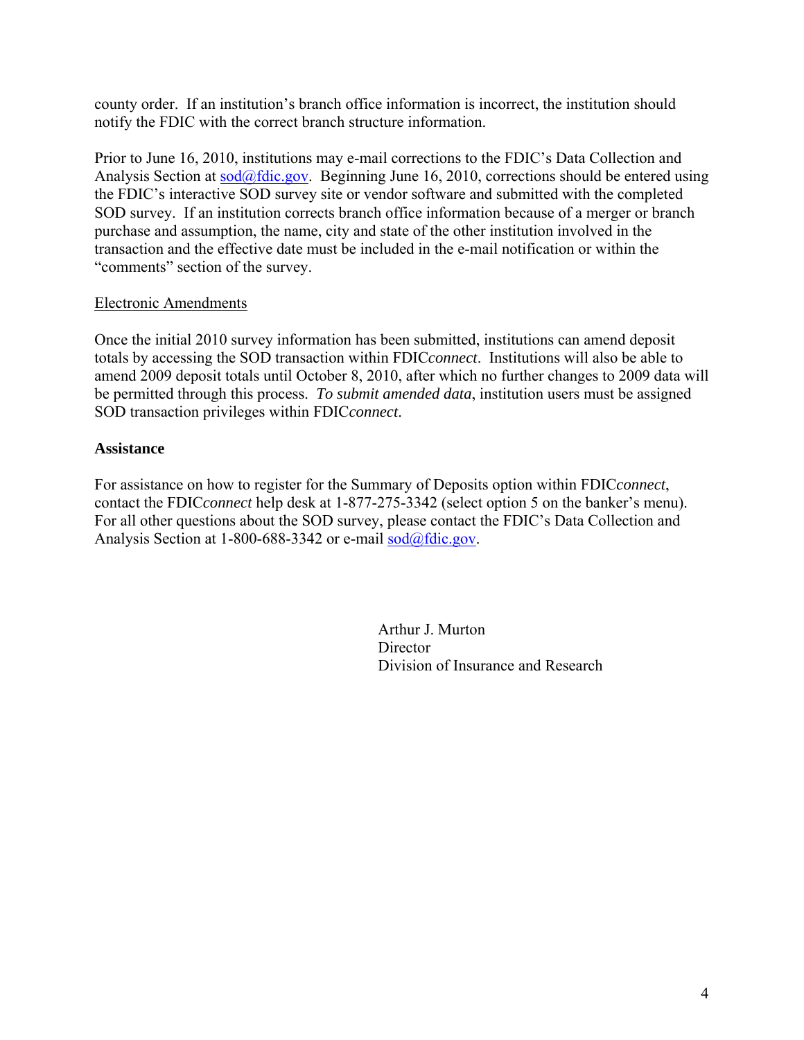county order. If an institution's branch office information is incorrect, the institution should notify the FDIC with the correct branch structure information.

Prior to June 16, 2010, institutions may e-mail corrections to the FDIC's Data Collection and Analysis Section at  $\frac{\text{cod}(a)}{\text{fdic.gov}}$ . Beginning June 16, 2010, corrections should be entered using the FDIC's interactive SOD survey site or vendor software and submitted with the completed SOD survey. If an institution corrects branch office information because of a merger or branch purchase and assumption, the name, city and state of the other institution involved in the transaction and the effective date must be included in the e-mail notification or within the "comments" section of the survey.

#### Electronic Amendments

Once the initial 2010 survey information has been submitted, institutions can amend deposit totals by accessing the SOD transaction within FDIC*connect*. Institutions will also be able to amend 2009 deposit totals until October 8, 2010, after which no further changes to 2009 data will be permitted through this process. *To submit amended data*, institution users must be assigned SOD transaction privileges within FDIC*connect*.

#### **Assistance**

For assistance on how to register for the Summary of Deposits option within FDIC*connect*, contact the FDIC*connect* help desk at 1-877-275-3342 (select option 5 on the banker's menu). For all other questions about the SOD survey, please contact the FDIC's Data Collection and Analysis Section at 1-800-688-3342 or e-mail sod@fdic.gov.

> Arthur J. Murton **Director** Division of Insurance and Research